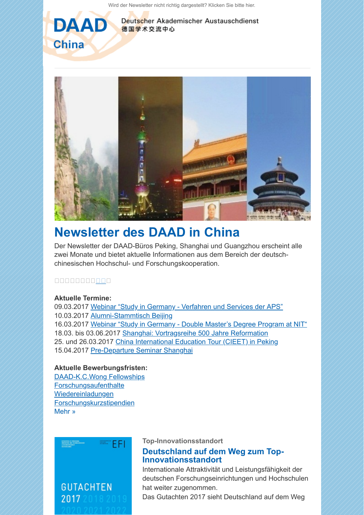[Wird der Newsletter nicht richtig dargestellt? Klicken Sie bitte hier.](https://scnem.com/a.php?sid=agv93.1f8q3hd,f=1,n=agv93.1f8q3hd,l=gbb76s.2k86tpt)



Deutscher Akademischer Austauschdienst 德国学术交流中心



# **[Newsletter des DAAD in China](https://scnem.com/a.php?sid=agv93.1f8q3hd,f=6,n=agv93.1f8q3hd,artref=6452706,l=gbb75z.l2hq8b)**

Der Newsletter der DAAD-Büros Peking, Shanghai und Guangzhou erscheint alle zwei Monate und bietet aktuelle Informationen aus dem Bereich der deutschchinesischen Hochschul- und Forschungskooperation.

#### 00000000000

# **Aktuelle Termine:**

09.03.2017 [Webinar "Study in Germany - Verfahren und Services der APS"](http://scnem.com/goto.php?l=gbb761.akjnap,u=8ccc717101048a39,n=agv93.1f8q3hd,art_id=agv94.dc5nt8) 10.03.2017 [Alumni-Stammtisch Beijing](http://scnem.com/goto.php?l=gbb762.26d7hf8,u=8ccc717101048a39,n=agv93.1f8q3hd,art_id=agv94.dc5nt8) 16.03.2017 [Webinar "Study in Germany - Double Master's Degree Program at NIT"](http://scnem.com/goto.php?l=gbb763.g19gc0,u=8ccc717101048a39,n=agv93.1f8q3hd,art_id=agv94.dc5nt8) 18.03. bis 03.06.2017 [Shanghai: Vortragsreihe 500 Jahre Reformation](http://scnem.com/goto.php?l=gbb764.1esq17g,u=8ccc717101048a39,n=agv93.1f8q3hd,art_id=agv94.dc5nt8) 25. und 26.03.2017 [China International Education Tour \(CIEET\) in Peking](http://scnem.com/goto.php?l=gbb765.17adcpe,u=8ccc717101048a39,n=agv93.1f8q3hd,art_id=agv94.dc5nt8) 15.04.2017 [Pre-Departure Seminar Shanghai](http://scnem.com/goto.php?l=gbb766.1pqa2d8,u=8ccc717101048a39,n=agv93.1f8q3hd,art_id=agv94.dc5nt8)

# **Aktuelle Bewerbungsfristen:**

[DAAD-K.C.Wong Fellowships](http://scnem.com/goto.php?l=gbb767.rgl8go,u=8ccc717101048a39,n=agv93.1f8q3hd,art_id=agv94.dc5nt8) **[Forschungsaufenthalte](http://scnem.com/goto.php?l=gbb768.1ij4ss5,u=8ccc717101048a39,n=agv93.1f8q3hd,art_id=agv94.dc5nt8)** [Wiedereinladungen](http://scnem.com/goto.php?l=gbb769.144cp75,u=8ccc717101048a39,n=agv93.1f8q3hd,art_id=agv94.dc5nt8) **[Forschungskurzstipendien](http://scnem.com/goto.php?l=gbb76a.20ci6sf,u=8ccc717101048a39,n=agv93.1f8q3hd,art_id=agv94.dc5nt8)** [Mehr »](https://scnem.com/a.php?sid=agv93.1f8q3hd,f=6,n=agv93.1f8q3hd,artref=6452706,l=gbb75z.l2hq8b)



**Top-Innovationsstandort**

# **[Deutschland auf dem Weg zum Top-](https://scnem.com/a.php?sid=agv93.1f8q3hd,f=6,n=agv93.1f8q3hd,artref=6452717,l=gbb76b.mdel0l)Innovationsstandort**

Internationale Attraktivität und Leistungsfähigkeit der deutschen Forschungseinrichtungen und Hochschulen hat weiter zugenommen.

Das Gutachten 2017 sieht Deutschland auf dem Weg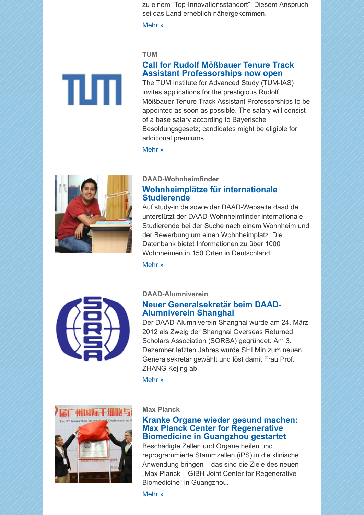zu einem "Top-Innovationsstandort". Diesem Anspruch sei das Land erheblich nähergekommen.

[Mehr »](https://scnem.com/a.php?sid=agv93.1f8q3hd,f=6,n=agv93.1f8q3hd,artref=6452717,l=gbb76b.mdel0l)

#### **TUM**

## **[Call for Rudolf Mößbauer Tenure Track](https://scnem.com/a.php?sid=agv93.1f8q3hd,f=6,n=agv93.1f8q3hd,artref=6452716,l=gbb76c.1p26t7i) Assistant Professorships now open**

The TUM Institute for Advanced Study (TUM-IAS) invites applications for the prestigious Rudolf Mößbauer Tenure Track Assistant Professorships to be appointed as soon as possible. The salary will consist of a base salary according to Bayerische Besoldungsgesetz; candidates might be eligible for additional premiums.

[Mehr »](https://scnem.com/a.php?sid=agv93.1f8q3hd,f=6,n=agv93.1f8q3hd,artref=6452716,l=gbb76c.1p26t7i)



πл

## **DAAD-Wohnheimfinder**

# **[Wohnheimplätze für internationale](https://scnem.com/a.php?sid=agv93.1f8q3hd,f=6,n=agv93.1f8q3hd,artref=6452715,l=gbb76d.195mbh8) Studierende**

Auf study-in.de sowie der DAAD-Webseite daad.de unterstützt der DAAD-Wohnheimfinder internationale Studierende bei der Suche nach einem Wohnheim und der Bewerbung um einen Wohnheimplatz. Die Datenbank bietet Informationen zu über 1000 Wohnheimen in 150 Orten in Deutschland.

[Mehr »](https://scnem.com/a.php?sid=agv93.1f8q3hd,f=6,n=agv93.1f8q3hd,artref=6452715,l=gbb76d.195mbh8)



#### **DAAD-Alumniverein**

# **[Neuer Generalsekretär beim DAAD-](https://scnem.com/a.php?sid=agv93.1f8q3hd,f=6,n=agv93.1f8q3hd,artref=6452718,l=gbb76e.20n1mo5)Alumniverein Shanghai**

Der DAAD-Alumniverein Shanghai wurde am 24. März 2012 als Zweig der Shanghai Overseas Returned Scholars Association (SORSA) gegründet. Am 3. Dezember letzten Jahres wurde SHI Min zum neuen Generalsekretär gewählt und löst damit Frau Prof. ZHANG Kejing ab.

[Mehr »](https://scnem.com/a.php?sid=agv93.1f8q3hd,f=6,n=agv93.1f8q3hd,artref=6452718,l=gbb76e.20n1mo5)



#### **Max Planck**

## **[Kranke Organe wieder gesund machen:](https://scnem.com/a.php?sid=agv93.1f8q3hd,f=6,n=agv93.1f8q3hd,artref=6452714,l=gbb76f.12dn82f) Max Planck Center for Regenerative Biomedicine in Guangzhou gestartet**

Beschädigte Zellen und Organe heilen und reprogrammierte Stammzellen (iPS) in die klinische Anwendung bringen – das sind die Ziele des neuen "Max Planck - GIBH Joint Center for Regenerative Biomedicine" in Guangzhou.

[Mehr »](https://scnem.com/a.php?sid=agv93.1f8q3hd,f=6,n=agv93.1f8q3hd,artref=6452714,l=gbb76f.12dn82f)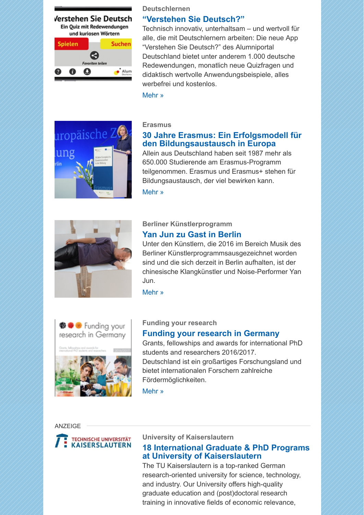

**Deutschlernen**

#### **["Verstehen Sie Deutsch?"](https://scnem.com/a.php?sid=agv93.1f8q3hd,f=6,n=agv93.1f8q3hd,artref=6452713,l=gbb76g.1l1r8fd)**

Technisch innovativ, unterhaltsam – und wertvoll für alle, die mit Deutschlernern arbeiten: Die neue App "Verstehen Sie Deutsch?" des Alumniportal Deutschland bietet unter anderem 1.000 deutsche Redewendungen, monatlich neue Quizfragen und didaktisch wertvolle Anwendungsbeispiele, alles werbefrei und kostenlos.

[Mehr »](https://scnem.com/a.php?sid=agv93.1f8q3hd,f=6,n=agv93.1f8q3hd,artref=6452713,l=gbb76g.1l1r8fd)



#### **Erasmus**

# **[30 Jahre Erasmus: Ein Erfolgsmodell für](https://scnem.com/a.php?sid=agv93.1f8q3hd,f=6,n=agv93.1f8q3hd,artref=6452712,l=gbb76h.1ddotr3) den Bildungsaustausch in Europa**

Allein aus Deutschland haben seit 1987 mehr als 650.000 Studierende am Erasmus-Programm teilgenommen. Erasmus und Erasmus+ stehen für Bildungsaustausch, der viel bewirken kann.





#### **Berliner Künstlerprogramm [Yan Jun zu Gast in Berlin](https://scnem.com/a.php?sid=agv93.1f8q3hd,f=6,n=agv93.1f8q3hd,artref=6452719,l=gbb76i.25q73rg)**

Unter den Künstlern, die 2016 im Bereich Musik des Berliner Künstlerprogrammsausgezeichnet worden sind und die sich derzeit in Berlin aufhalten, ist der chinesische Klangkünstler und Noise-Performer Yan Jun.

[Mehr »](https://scnem.com/a.php?sid=agv93.1f8q3hd,f=6,n=agv93.1f8q3hd,artref=6452719,l=gbb76i.25q73rg)



#### **Funding your research**

#### **[Funding your research in Germany](https://scnem.com/a.php?sid=agv93.1f8q3hd,f=6,n=agv93.1f8q3hd,artref=6452711,l=gbb76j.rrdr6k)**

Grants, fellowships and awards for international PhD students and researchers 2016/2017. Deutschland ist ein großartiges Forschungsland und bietet internationalen Forschern zahlreiche Fördermöglichkeiten.

[Mehr »](https://scnem.com/a.php?sid=agv93.1f8q3hd,f=6,n=agv93.1f8q3hd,artref=6452711,l=gbb76j.rrdr6k)

#### **ANZEIGE**



#### **University of Kaiserslautern**

# **[18 International Graduate & PhD Programs](https://scnem.com/a.php?sid=agv93.1f8q3hd,f=6,n=agv93.1f8q3hd,artref=6452707,l=gbb76k.1o7qjn0) at University of Kaiserslautern**

The TU Kaiserslautern is a top-ranked German research-oriented university for science, technology, and industry. Our University offers high-quality graduate education and (post)doctoral research training in innovative fields of economic relevance,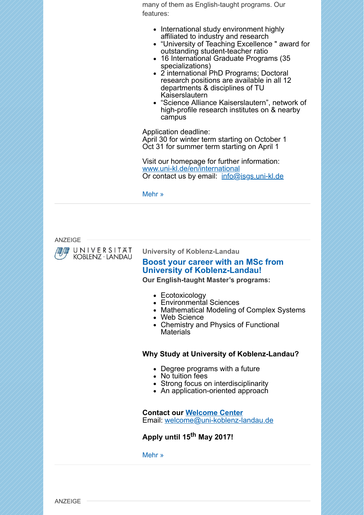many of them as English-taught programs. Our features:

- International study environment highly affiliated to industry and research
- "University of Teaching Excellence " award for outstanding student-teacher ratio
- 16 International Graduate Programs (35 specializations)
- 2 international PhD Programs; Doctoral research positions are available in all 12 departments & disciplines of TU Kaiserslautern
- "Science Alliance Kaiserslautern", network of high-profile research institutes on & nearby campus

Application deadline:

April 30 for winter term starting on October 1 Oct 31 for summer term starting on April 1

Visit our homepage for further information: [www.uni-kl.de/en/international](http://scnem.com/goto.php?l=gbb76l.19nepni,u=8ccc717101048a39,n=agv93.1f8q3hd,art_id=agv9p.3esasm) Or contact us by email: [info@isgs.uni-kl.de](mailto:info@isgs.uni-kl.de)

[Mehr »](https://scnem.com/a.php?sid=agv93.1f8q3hd,f=6,n=agv93.1f8q3hd,artref=6452707,l=gbb76k.1o7qjn0)

ANZEIGE



**University of Koblenz-Landau**

# **[Boost your career with an MSc from](https://scnem.com/a.php?sid=agv93.1f8q3hd,f=6,n=agv93.1f8q3hd,artref=6452720,l=gbb76m.1ttblaf) University of Koblenz-Landau!**

**Our English-taught Master's programs:**

- Ecotoxicology
- Environmental Sciences
- Mathematical Modeling of Complex Systems
- Web Science
- Chemistry and Physics of Functional **Materials**

#### **Why Study at University of Koblenz-Landau?**

- Degree programs with a future
- No tuition fees
- Strong focus on interdisciplinarity
- An application-oriented approach

**Contact our [Welcome Center](http://scnem.com/goto.php?l=gbb76n.nb23g5,u=8ccc717101048a39,n=agv93.1f8q3hd,art_id=agv9s.2l3bt45)** Email: [welcome@uni-koblenz-landau.de](mailto:welcome@uni-koblenz-landau.de)

**Apply until 15th May 2017!**

[Mehr »](https://scnem.com/a.php?sid=agv93.1f8q3hd,f=6,n=agv93.1f8q3hd,artref=6452720,l=gbb76m.1ttblaf)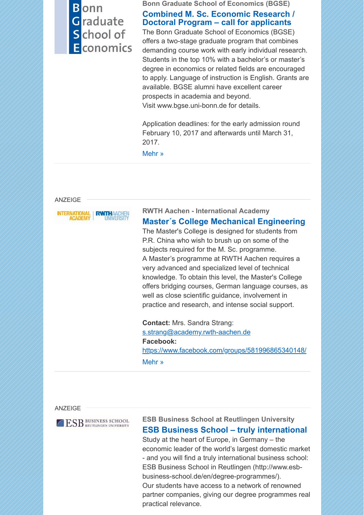# **B** onn Graduate School of Economics

**Bonn Graduate School of Economics (BGSE)**

# **[Combined M. Sc. Economic Research /](https://scnem.com/a.php?sid=agv93.1f8q3hd,f=6,n=agv93.1f8q3hd,artref=6452708,l=gbb76o.2jf88t2) Doctoral Program – call for applicants**

The Bonn Graduate School of Economics (BGSE) offers a two-stage graduate program that combines demanding course work with early individual research. Students in the top 10% with a bachelor's or master's degree in economics or related fields are encouraged to apply. Language of instruction is English. Grants are available. BGSE alumni have excellent career prospects in academia and beyond. Visit www.bgse.uni-bonn.de for details.

Application deadlines: for the early admission round February 10, 2017 and afterwards until March 31, 2017.

[Mehr »](https://scnem.com/a.php?sid=agv93.1f8q3hd,f=6,n=agv93.1f8q3hd,artref=6452708,l=gbb76o.2jf88t2)

#### ANZEIGE



**RWTH Aachen - International Academy [Master´s College Mechanical Engineering](https://scnem.com/a.php?sid=agv93.1f8q3hd,f=6,n=agv93.1f8q3hd,artref=6452709,l=gbb76p.2qhhmi)** The Master's College is designed for students from P.R. China who wish to brush up on some of the subjects required for the M. Sc. programme. A Master's programme at RWTH Aachen requires a very advanced and specialized level of technical knowledge. To obtain this level, the Master's College offers bridging courses, German language courses, as well as close scientific guidance, involvement in practice and research, and intense social support.

**Contact:** Mrs. Sandra Strang: [s.strang@academy.rwth-aachen.de](mailto:s.strang@academy.rwth-aachen.de) **Facebook:** [https://www.facebook.com/groups/581996865340148/](http://scnem.com/goto.php?l=gbb76q.287ai56,u=8ccc717101048a39,n=agv93.1f8q3hd,art_id=agv9y.2dr9809) [Mehr »](https://scnem.com/a.php?sid=agv93.1f8q3hd,f=6,n=agv93.1f8q3hd,artref=6452709,l=gbb76p.2qhhmi)

#### ANZEIGE

ESB BUSINESS SCHOOL

# **ESB Business School at Reutlingen University [ESB Business School – truly international](https://scnem.com/a.php?sid=agv93.1f8q3hd,f=6,n=agv93.1f8q3hd,artref=6452710,l=gbb76r.f31rbk)**

Study at the heart of Europe, in Germany – the economic leader of the world's largest domestic market - and you will find a truly international business school: ESB Business School in Reutlingen (http://www.esbbusiness-school.de/en/degree-programmes/). Our students have access to a network of renowned partner companies, giving our degree programmes real practical relevance.